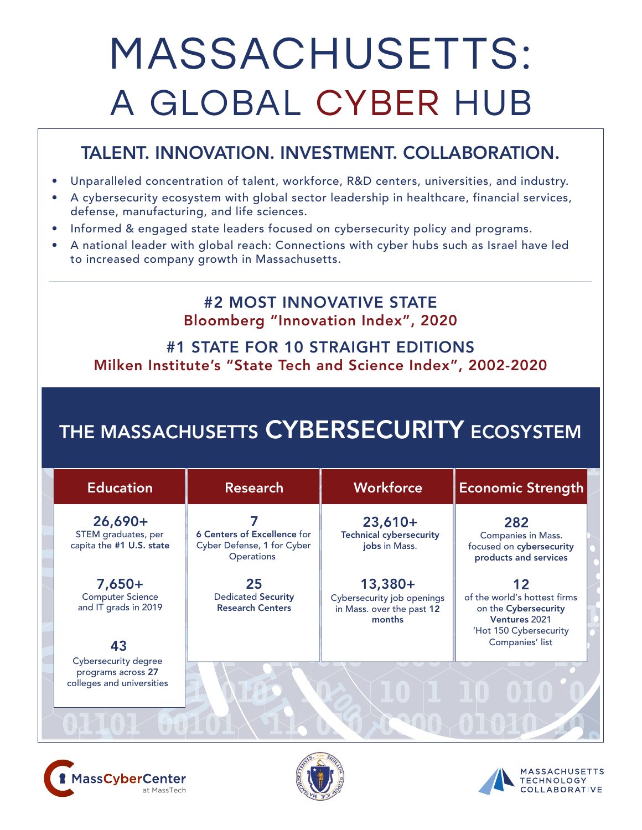# MASSACHUSETTS: A GLOBAL CYBER HUB

## TALENT. INNOVATION. INVESTMENT. COLLABORATION.

- Unparalleled concentration of talent, workforce, R&D centers, universities, and industry.
- A cybersecurity ecosystem with global sector leadership in healthcare, financial services, defense, manufacturing, and life sciences.
- Informed & engaged state leaders focused on cybersecurity policy and programs.
- A national leader with global reach: Connections with cyber hubs such as Israel have led to increased company growth in Massachusetts.

### #2 MOST INNOVATIVE STATE Bloomberg "Innovation Index", 2020

#### #1 STATE FOR 10 STRAIGHT EDITIONS Milken Institute's "State Tech and Science Index", 2002-2020

# THE MASSACHUSETTS CYBERSECURITY ECOSYSTEM

| <b>Education</b>                                             | <b>Research</b>                                                         | Workforce                                                                      | <b>Economic Strength</b>                                                                              |
|--------------------------------------------------------------|-------------------------------------------------------------------------|--------------------------------------------------------------------------------|-------------------------------------------------------------------------------------------------------|
| $26,690+$<br>STEM graduates, per<br>capita the #1 U.S. state | 6 Centers of Excellence for<br>Cyber Defense, 1 for Cyber<br>Operations | $23,610+$<br><b>Technical cybersecurity</b><br>jobs in Mass.                   | 282<br><b>Companies in Mass.</b><br>focused on cybersecurity<br>products and services                 |
| $7,650+$<br><b>Computer Science</b><br>and IT grads in 2019  | 25<br><b>Dedicated Security</b><br><b>Research Centers</b>              | $13,380+$<br>Cybersecurity job openings<br>in Mass. over the past 12<br>months | 12<br>of the world's hottest firms<br>on the Cybersecurity<br>Ventures 2021<br>'Hot 150 Cybersecurity |
| 43<br>Cybersecurity degree<br>programs across 27             |                                                                         |                                                                                | Companies' list                                                                                       |
| colleges and universities                                    |                                                                         |                                                                                |                                                                                                       |